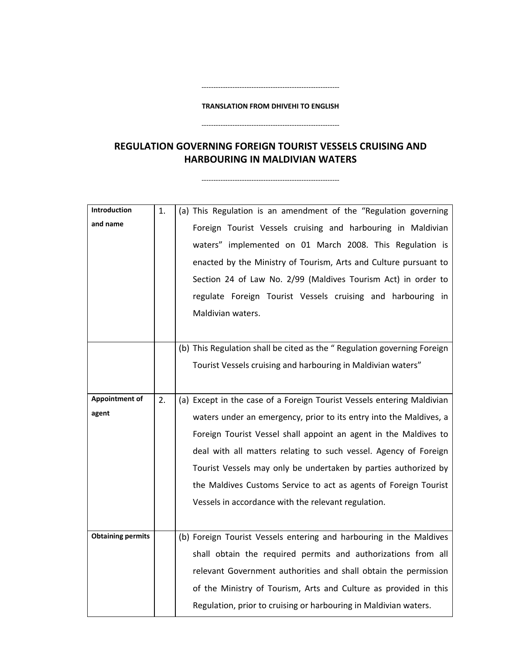#### **TRANSLATION FROM DHIVEHI TO ENGLISH**

‐‐‐‐‐‐‐‐‐‐‐‐‐‐‐‐‐‐‐‐‐‐‐‐‐‐‐‐‐‐‐‐‐‐‐‐‐‐‐‐‐‐‐‐‐‐‐‐‐‐‐‐‐‐‐‐‐‐

‐‐‐‐‐‐‐‐‐‐‐‐‐‐‐‐‐‐‐‐‐‐‐‐‐‐‐‐‐‐‐‐‐‐‐‐‐‐‐‐‐‐‐‐‐‐‐‐‐‐‐‐‐‐‐‐‐‐

**REGULATION GOVERNING FOREIGN TOURIST VESSELS CRUISING AND HARBOURING IN MALDIVIAN WATERS**

‐‐‐‐‐‐‐‐‐‐‐‐‐‐‐‐‐‐‐‐‐‐‐‐‐‐‐‐‐‐‐‐‐‐‐‐‐‐‐‐‐‐‐‐‐‐‐‐‐‐‐‐‐‐‐‐‐‐

**Introduction and name** 1.  $\vert$  (a) This Regulation is an amendment of the "Regulation governing Foreign Tourist Vessels cruising and harbouring in Maldivian waters" implemented on 01 March 2008. This Regulation is enacted by the Ministry of Tourism, Arts and Culture pursuant to Section 24 of Law No. 2/99 (Maldives Tourism Act) in order to regulate Foreign Tourist Vessels cruising and harbouring in Maldivian waters. (b) This Regulation shall be cited as the " Regulation governing Foreign Tourist Vessels cruising and harbouring in Maldivian waters" **Appointment of agent** 2.  $\vert$  (a) Except in the case of a Foreign Tourist Vessels entering Maldivian waters under an emergency, prior to its entry into the Maldives, a Foreign Tourist Vessel shall appoint an agent in the Maldives to deal with all matters relating to such vessel. Agency of Foreign Tourist Vessels may only be undertaken by parties authorized by the Maldives Customs Service to act as agents of Foreign Tourist Vessels in accordance with the relevant regulation. **Obtaining permits** | (b) Foreign Tourist Vessels entering and harbouring in the Maldives shall obtain the required permits and authorizations from all relevant Government authorities and shall obtain the permission of the Ministry of Tourism, Arts and Culture as provided in this Regulation, prior to cruising or harbouring in Maldivian waters.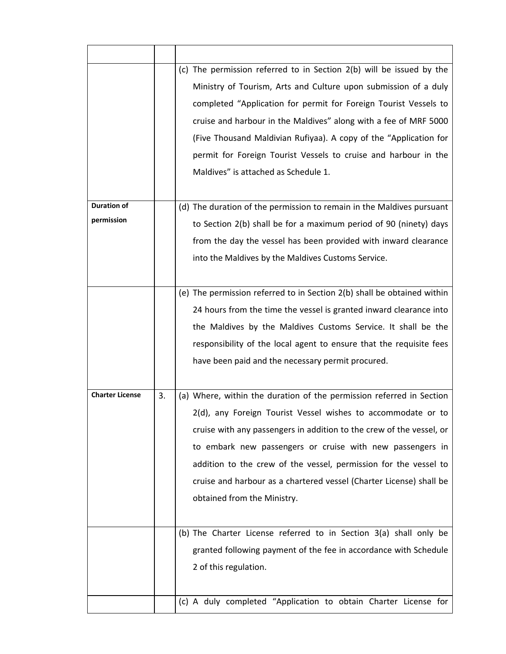| <b>Duration of</b>     |    | (c) The permission referred to in Section 2(b) will be issued by the<br>Ministry of Tourism, Arts and Culture upon submission of a duly<br>completed "Application for permit for Foreign Tourist Vessels to<br>cruise and harbour in the Maldives" along with a fee of MRF 5000<br>(Five Thousand Maldivian Rufiyaa). A copy of the "Application for<br>permit for Foreign Tourist Vessels to cruise and harbour in the<br>Maldives" is attached as Schedule 1.<br>(d) The duration of the permission to remain in the Maldives pursuant |
|------------------------|----|------------------------------------------------------------------------------------------------------------------------------------------------------------------------------------------------------------------------------------------------------------------------------------------------------------------------------------------------------------------------------------------------------------------------------------------------------------------------------------------------------------------------------------------|
| permission             |    | to Section 2(b) shall be for a maximum period of 90 (ninety) days                                                                                                                                                                                                                                                                                                                                                                                                                                                                        |
|                        |    | from the day the vessel has been provided with inward clearance                                                                                                                                                                                                                                                                                                                                                                                                                                                                          |
|                        |    | into the Maldives by the Maldives Customs Service.                                                                                                                                                                                                                                                                                                                                                                                                                                                                                       |
|                        |    |                                                                                                                                                                                                                                                                                                                                                                                                                                                                                                                                          |
|                        |    | (e) The permission referred to in Section 2(b) shall be obtained within                                                                                                                                                                                                                                                                                                                                                                                                                                                                  |
|                        |    | 24 hours from the time the vessel is granted inward clearance into                                                                                                                                                                                                                                                                                                                                                                                                                                                                       |
|                        |    | the Maldives by the Maldives Customs Service. It shall be the                                                                                                                                                                                                                                                                                                                                                                                                                                                                            |
|                        |    | responsibility of the local agent to ensure that the requisite fees                                                                                                                                                                                                                                                                                                                                                                                                                                                                      |
|                        |    |                                                                                                                                                                                                                                                                                                                                                                                                                                                                                                                                          |
|                        |    | have been paid and the necessary permit procured.                                                                                                                                                                                                                                                                                                                                                                                                                                                                                        |
| <b>Charter License</b> | 3. | (a) Where, within the duration of the permission referred in Section                                                                                                                                                                                                                                                                                                                                                                                                                                                                     |
|                        |    | 2(d), any Foreign Tourist Vessel wishes to accommodate or to                                                                                                                                                                                                                                                                                                                                                                                                                                                                             |
|                        |    | cruise with any passengers in addition to the crew of the vessel, or                                                                                                                                                                                                                                                                                                                                                                                                                                                                     |
|                        |    | to embark new passengers or cruise with new passengers in                                                                                                                                                                                                                                                                                                                                                                                                                                                                                |
|                        |    | addition to the crew of the vessel, permission for the vessel to                                                                                                                                                                                                                                                                                                                                                                                                                                                                         |
|                        |    | cruise and harbour as a chartered vessel (Charter License) shall be                                                                                                                                                                                                                                                                                                                                                                                                                                                                      |
|                        |    | obtained from the Ministry.                                                                                                                                                                                                                                                                                                                                                                                                                                                                                                              |
|                        |    |                                                                                                                                                                                                                                                                                                                                                                                                                                                                                                                                          |
|                        |    | (b) The Charter License referred to in Section 3(a) shall only be                                                                                                                                                                                                                                                                                                                                                                                                                                                                        |
|                        |    | granted following payment of the fee in accordance with Schedule                                                                                                                                                                                                                                                                                                                                                                                                                                                                         |
|                        |    | 2 of this regulation.                                                                                                                                                                                                                                                                                                                                                                                                                                                                                                                    |
|                        |    |                                                                                                                                                                                                                                                                                                                                                                                                                                                                                                                                          |
|                        |    | (c) A duly completed "Application to obtain Charter License for                                                                                                                                                                                                                                                                                                                                                                                                                                                                          |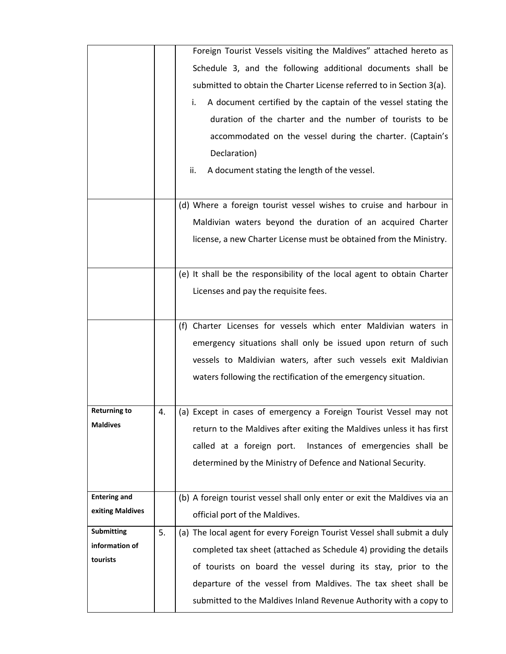|                     |    | Foreign Tourist Vessels visiting the Maldives" attached hereto as         |
|---------------------|----|---------------------------------------------------------------------------|
|                     |    | Schedule 3, and the following additional documents shall be               |
|                     |    | submitted to obtain the Charter License referred to in Section 3(a).      |
|                     |    | A document certified by the captain of the vessel stating the<br>i.       |
|                     |    | duration of the charter and the number of tourists to be                  |
|                     |    | accommodated on the vessel during the charter. (Captain's                 |
|                     |    |                                                                           |
|                     |    | Declaration)                                                              |
|                     |    | A document stating the length of the vessel.<br>ii.                       |
|                     |    |                                                                           |
|                     |    | (d) Where a foreign tourist vessel wishes to cruise and harbour in        |
|                     |    | Maldivian waters beyond the duration of an acquired Charter               |
|                     |    | license, a new Charter License must be obtained from the Ministry.        |
|                     |    |                                                                           |
|                     |    | (e) It shall be the responsibility of the local agent to obtain Charter   |
|                     |    | Licenses and pay the requisite fees.                                      |
|                     |    |                                                                           |
|                     |    | (f) Charter Licenses for vessels which enter Maldivian waters in          |
|                     |    | emergency situations shall only be issued upon return of such             |
|                     |    | vessels to Maldivian waters, after such vessels exit Maldivian            |
|                     |    | waters following the rectification of the emergency situation.            |
|                     |    |                                                                           |
| <b>Returning to</b> | 4. |                                                                           |
| <b>Maldives</b>     |    | (a) Except in cases of emergency a Foreign Tourist Vessel may not         |
|                     |    | return to the Maldives after exiting the Maldives unless it has first     |
|                     |    | called at a foreign port. Instances of emergencies shall be               |
|                     |    | determined by the Ministry of Defence and National Security.              |
|                     |    |                                                                           |
| <b>Entering and</b> |    | (b) A foreign tourist vessel shall only enter or exit the Maldives via an |
| exiting Maldives    |    | official port of the Maldives.                                            |
| <b>Submitting</b>   | 5. | (a) The local agent for every Foreign Tourist Vessel shall submit a duly  |
| information of      |    | completed tax sheet (attached as Schedule 4) providing the details        |
| tourists            |    | of tourists on board the vessel during its stay, prior to the             |
|                     |    | departure of the vessel from Maldives. The tax sheet shall be             |
|                     |    | submitted to the Maldives Inland Revenue Authority with a copy to         |
|                     |    |                                                                           |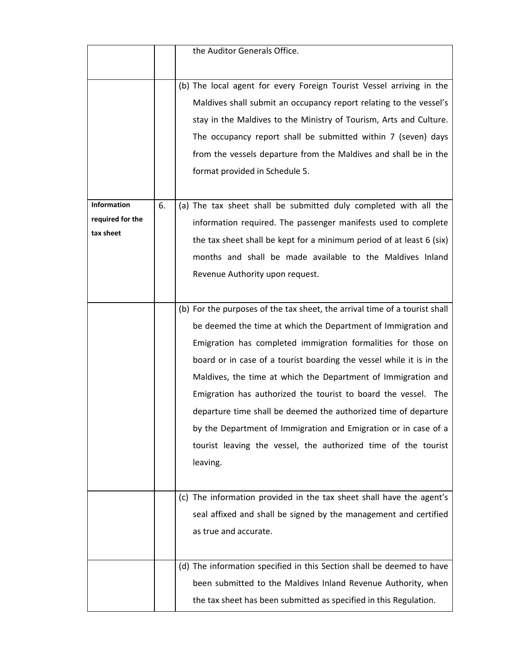|                  |    | the Auditor Generals Office.                                               |
|------------------|----|----------------------------------------------------------------------------|
|                  |    |                                                                            |
|                  |    | (b) The local agent for every Foreign Tourist Vessel arriving in the       |
|                  |    | Maldives shall submit an occupancy report relating to the vessel's         |
|                  |    | stay in the Maldives to the Ministry of Tourism, Arts and Culture.         |
|                  |    | The occupancy report shall be submitted within 7 (seven) days              |
|                  |    | from the vessels departure from the Maldives and shall be in the           |
|                  |    | format provided in Schedule 5.                                             |
|                  |    |                                                                            |
| Information      | 6. | (a) The tax sheet shall be submitted duly completed with all the           |
| required for the |    | information required. The passenger manifests used to complete             |
| tax sheet        |    | the tax sheet shall be kept for a minimum period of at least 6 (six)       |
|                  |    | months and shall be made available to the Maldives Inland                  |
|                  |    | Revenue Authority upon request.                                            |
|                  |    |                                                                            |
|                  |    | (b) For the purposes of the tax sheet, the arrival time of a tourist shall |
|                  |    | be deemed the time at which the Department of Immigration and              |
|                  |    | Emigration has completed immigration formalities for those on              |
|                  |    | board or in case of a tourist boarding the vessel while it is in the       |
|                  |    | Maldives, the time at which the Department of Immigration and              |
|                  |    | Emigration has authorized the tourist to board the vessel. The             |
|                  |    | departure time shall be deemed the authorized time of departure            |
|                  |    | by the Department of Immigration and Emigration or in case of a            |
|                  |    | tourist leaving the vessel, the authorized time of the tourist             |
|                  |    | leaving.                                                                   |
|                  |    |                                                                            |
|                  |    | (c) The information provided in the tax sheet shall have the agent's       |
|                  |    | seal affixed and shall be signed by the management and certified           |
|                  |    | as true and accurate.                                                      |
|                  |    |                                                                            |
|                  |    | (d) The information specified in this Section shall be deemed to have      |
|                  |    | been submitted to the Maldives Inland Revenue Authority, when              |
|                  |    | the tax sheet has been submitted as specified in this Regulation.          |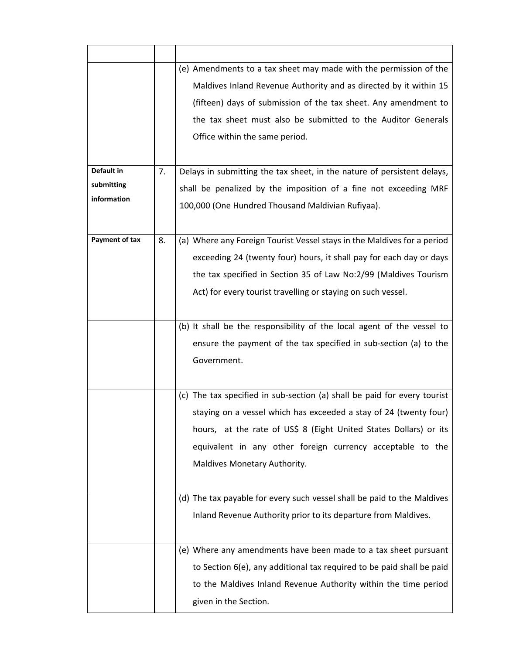|                |    | (e) Amendments to a tax sheet may made with the permission of the        |
|----------------|----|--------------------------------------------------------------------------|
|                |    | Maldives Inland Revenue Authority and as directed by it within 15        |
|                |    | (fifteen) days of submission of the tax sheet. Any amendment to          |
|                |    | the tax sheet must also be submitted to the Auditor Generals             |
|                |    | Office within the same period.                                           |
|                |    |                                                                          |
| Default in     | 7. | Delays in submitting the tax sheet, in the nature of persistent delays,  |
| submitting     |    | shall be penalized by the imposition of a fine not exceeding MRF         |
| information    |    | 100,000 (One Hundred Thousand Maldivian Rufiyaa).                        |
|                |    |                                                                          |
| Payment of tax | 8. | (a) Where any Foreign Tourist Vessel stays in the Maldives for a period  |
|                |    | exceeding 24 (twenty four) hours, it shall pay for each day or days      |
|                |    | the tax specified in Section 35 of Law No:2/99 (Maldives Tourism         |
|                |    | Act) for every tourist travelling or staying on such vessel.             |
|                |    |                                                                          |
|                |    | (b) It shall be the responsibility of the local agent of the vessel to   |
|                |    | ensure the payment of the tax specified in sub-section (a) to the        |
|                |    | Government.                                                              |
|                |    |                                                                          |
|                |    | (c) The tax specified in sub-section (a) shall be paid for every tourist |
|                |    | staying on a vessel which has exceeded a stay of 24 (twenty four)        |
|                |    | hours, at the rate of US\$ 8 (Eight United States Dollars) or its        |
|                |    | equivalent in any other foreign currency acceptable to the               |
|                |    | Maldives Monetary Authority.                                             |
|                |    |                                                                          |
|                |    | (d) The tax payable for every such vessel shall be paid to the Maldives  |
|                |    | Inland Revenue Authority prior to its departure from Maldives.           |
|                |    |                                                                          |
|                |    | (e) Where any amendments have been made to a tax sheet pursuant          |
|                |    | to Section 6(e), any additional tax required to be paid shall be paid    |
|                |    | to the Maldives Inland Revenue Authority within the time period          |
|                |    | given in the Section.                                                    |
|                |    |                                                                          |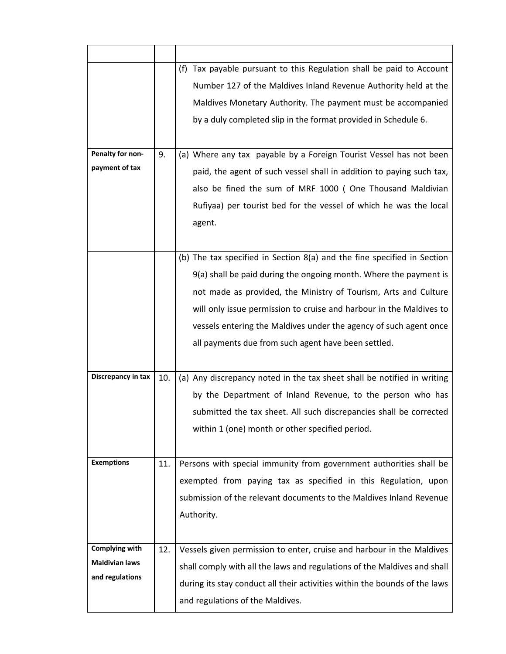|                       |     | (f) Tax payable pursuant to this Regulation shall be paid to Account       |
|-----------------------|-----|----------------------------------------------------------------------------|
|                       |     | Number 127 of the Maldives Inland Revenue Authority held at the            |
|                       |     | Maldives Monetary Authority. The payment must be accompanied               |
|                       |     | by a duly completed slip in the format provided in Schedule 6.             |
|                       |     |                                                                            |
| Penalty for non-      | 9.  | (a) Where any tax payable by a Foreign Tourist Vessel has not been         |
| payment of tax        |     | paid, the agent of such vessel shall in addition to paying such tax,       |
|                       |     | also be fined the sum of MRF 1000 (One Thousand Maldivian                  |
|                       |     | Rufiyaa) per tourist bed for the vessel of which he was the local          |
|                       |     | agent.                                                                     |
|                       |     |                                                                            |
|                       |     | (b) The tax specified in Section 8(a) and the fine specified in Section    |
|                       |     | 9(a) shall be paid during the ongoing month. Where the payment is          |
|                       |     | not made as provided, the Ministry of Tourism, Arts and Culture            |
|                       |     | will only issue permission to cruise and harbour in the Maldives to        |
|                       |     | vessels entering the Maldives under the agency of such agent once          |
|                       |     | all payments due from such agent have been settled.                        |
|                       |     |                                                                            |
| Discrepancy in tax    | 10. | (a) Any discrepancy noted in the tax sheet shall be notified in writing    |
|                       |     | by the Department of Inland Revenue, to the person who has                 |
|                       |     | submitted the tax sheet. All such discrepancies shall be corrected         |
|                       |     | within 1 (one) month or other specified period.                            |
|                       |     |                                                                            |
| <b>Exemptions</b>     | 11. | Persons with special immunity from government authorities shall be         |
|                       |     | exempted from paying tax as specified in this Regulation, upon             |
|                       |     | submission of the relevant documents to the Maldives Inland Revenue        |
|                       |     | Authority.                                                                 |
|                       |     |                                                                            |
| Complying with        | 12. | Vessels given permission to enter, cruise and harbour in the Maldives      |
| <b>Maldivian laws</b> |     | shall comply with all the laws and regulations of the Maldives and shall   |
| and regulations       |     | during its stay conduct all their activities within the bounds of the laws |
|                       |     | and regulations of the Maldives.                                           |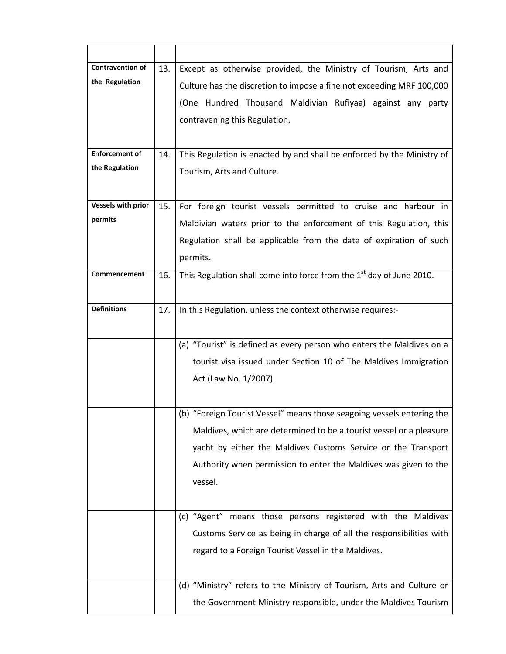| <b>Contravention of</b>   | 13. | Except as otherwise provided, the Ministry of Tourism, Arts and        |
|---------------------------|-----|------------------------------------------------------------------------|
| the Regulation            |     | Culture has the discretion to impose a fine not exceeding MRF 100,000  |
|                           |     | (One Hundred Thousand Maldivian Rufiyaa) against any party             |
|                           |     | contravening this Regulation.                                          |
|                           |     |                                                                        |
| <b>Enforcement of</b>     | 14. | This Regulation is enacted by and shall be enforced by the Ministry of |
| the Regulation            |     | Tourism, Arts and Culture.                                             |
|                           |     |                                                                        |
| <b>Vessels with prior</b> | 15. | For foreign tourist vessels permitted to cruise and harbour in         |
| permits                   |     | Maldivian waters prior to the enforcement of this Regulation, this     |
|                           |     | Regulation shall be applicable from the date of expiration of such     |
|                           |     | permits.                                                               |
| Commencement              | 16. | This Regulation shall come into force from the 1st day of June 2010.   |
|                           |     |                                                                        |
| <b>Definitions</b>        | 17. | In this Regulation, unless the context otherwise requires:-            |
|                           |     |                                                                        |
|                           |     |                                                                        |
|                           |     | (a) "Tourist" is defined as every person who enters the Maldives on a  |
|                           |     | tourist visa issued under Section 10 of The Maldives Immigration       |
|                           |     | Act (Law No. 1/2007).                                                  |
|                           |     |                                                                        |
|                           |     | (b) "Foreign Tourist Vessel" means those seagoing vessels entering the |
|                           |     | Maldives, which are determined to be a tourist vessel or a pleasure    |
|                           |     | yacht by either the Maldives Customs Service or the Transport          |
|                           |     | Authority when permission to enter the Maldives was given to the       |
|                           |     | vessel.                                                                |
|                           |     |                                                                        |
|                           |     | (c) "Agent" means those persons registered with the Maldives           |
|                           |     | Customs Service as being in charge of all the responsibilities with    |
|                           |     | regard to a Foreign Tourist Vessel in the Maldives.                    |
|                           |     |                                                                        |
|                           |     | (d) "Ministry" refers to the Ministry of Tourism, Arts and Culture or  |
|                           |     | the Government Ministry responsible, under the Maldives Tourism        |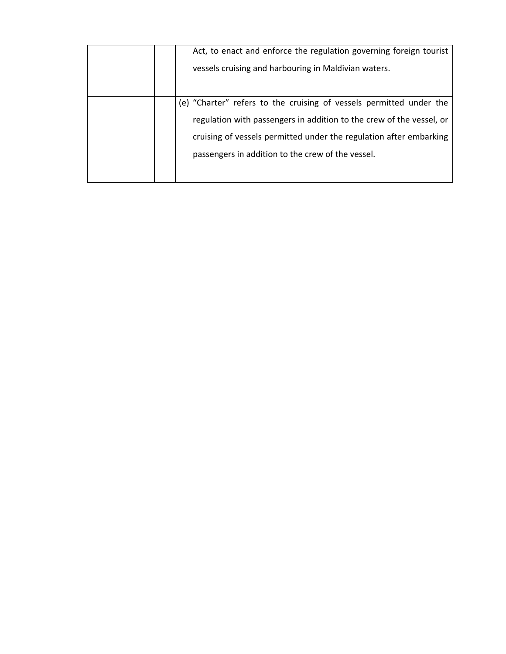| Act, to enact and enforce the regulation governing foreign tourist   |
|----------------------------------------------------------------------|
| vessels cruising and harbouring in Maldivian waters.                 |
|                                                                      |
|                                                                      |
| (e) "Charter" refers to the cruising of vessels permitted under the  |
| regulation with passengers in addition to the crew of the vessel, or |
| cruising of vessels permitted under the regulation after embarking   |
| passengers in addition to the crew of the vessel.                    |
|                                                                      |
|                                                                      |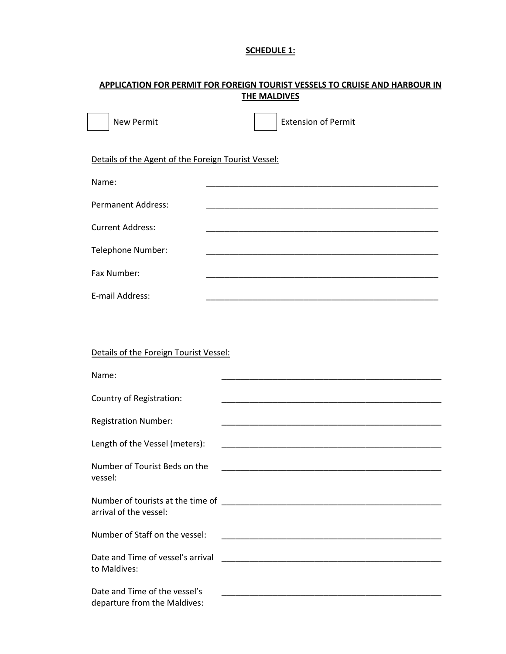# **SCHEDULE 1:**

# **APPLICATION FOR PERMIT FOR FOREIGN TOURIST VESSELS TO CRUISE AND HARBOUR IN THE MALDIVES**

| <b>New Permit</b>                                             | <b>Extension of Permit</b>                                                                                             |
|---------------------------------------------------------------|------------------------------------------------------------------------------------------------------------------------|
| Details of the Agent of the Foreign Tourist Vessel:           |                                                                                                                        |
| Name:                                                         |                                                                                                                        |
| <b>Permanent Address:</b>                                     |                                                                                                                        |
| <b>Current Address:</b>                                       |                                                                                                                        |
| Telephone Number:                                             |                                                                                                                        |
| Fax Number:                                                   |                                                                                                                        |
| E-mail Address:                                               |                                                                                                                        |
|                                                               |                                                                                                                        |
| Details of the Foreign Tourist Vessel:                        |                                                                                                                        |
| Name:                                                         |                                                                                                                        |
| Country of Registration:                                      |                                                                                                                        |
| <b>Registration Number:</b>                                   |                                                                                                                        |
| Length of the Vessel (meters):                                |                                                                                                                        |
| Number of Tourist Beds on the<br>vessel:                      |                                                                                                                        |
| arrival of the vessel:                                        |                                                                                                                        |
| Number of Staff on the vessel:                                | <u> 1990 - Johann John Stone, mars et al. (1990)</u>                                                                   |
| Date and Time of vessel's arrival<br>to Maldives:             |                                                                                                                        |
| Date and Time of the vessel's<br>departure from the Maldives: | <u> 1989 - Johann John Stone, mars et al. 1989 - John Stone, mars et al. 1989 - John Stone, mars et al. 1989 - Joh</u> |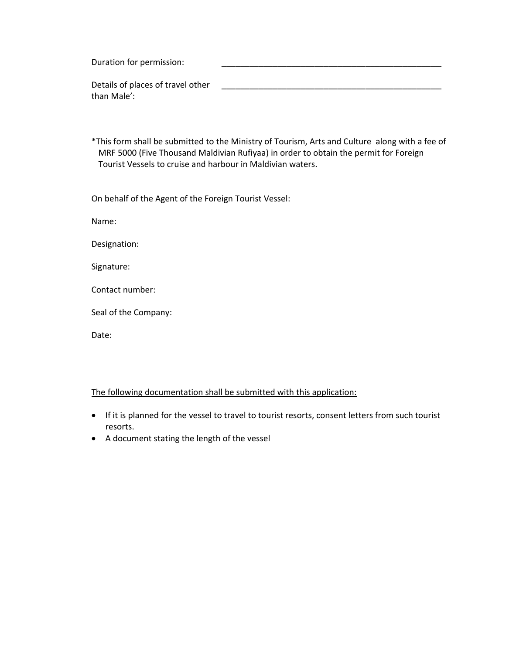Duration for permission: Details of places of travel other than Male': \_\_\_\_\_\_\_\_\_\_\_\_\_\_\_\_\_\_\_\_\_\_\_\_\_\_\_\_\_\_\_\_\_\_\_\_\_\_\_\_\_\_\_\_\_\_\_\_

\*This form shall be submitted to the Ministry of Tourism, Arts and Culture along with a fee of MRF 5000 (Five Thousand Maldivian Rufiyaa) in order to obtain the permit for Foreign Tourist Vessels to cruise and harbour in Maldivian waters.

#### On behalf of the Agent of the Foreign Tourist Vessel:

Name:

Designation:

Signature:

Contact number:

Seal of the Company:

Date:

# The following documentation shall be submitted with this application:

- If it is planned for the vessel to travel to tourist resorts, consent letters from such tourist resorts.
- A document stating the length of the vessel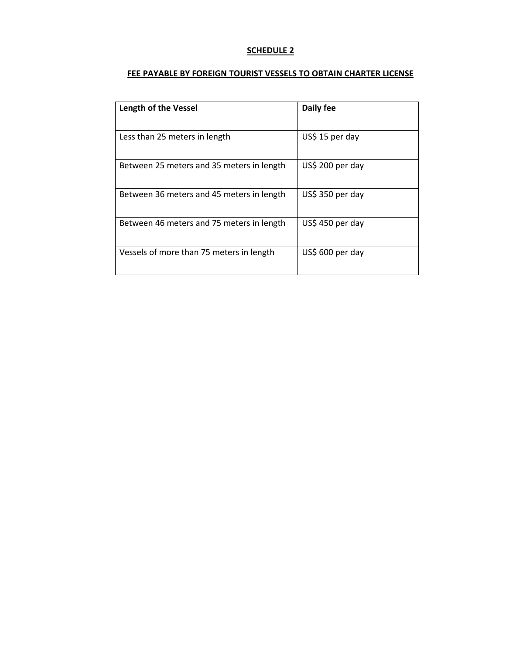## **FEE PAYABLE BY FOREIGN TOURIST VESSELS TO OBTAIN CHARTER LICENSE**

| <b>Length of the Vessel</b>               | Daily fee        |
|-------------------------------------------|------------------|
| Less than 25 meters in length             | US\$ 15 per day  |
| Between 25 meters and 35 meters in length | US\$ 200 per day |
| Between 36 meters and 45 meters in length | US\$ 350 per day |
| Between 46 meters and 75 meters in length | US\$ 450 per day |
| Vessels of more than 75 meters in length  | US\$ 600 per day |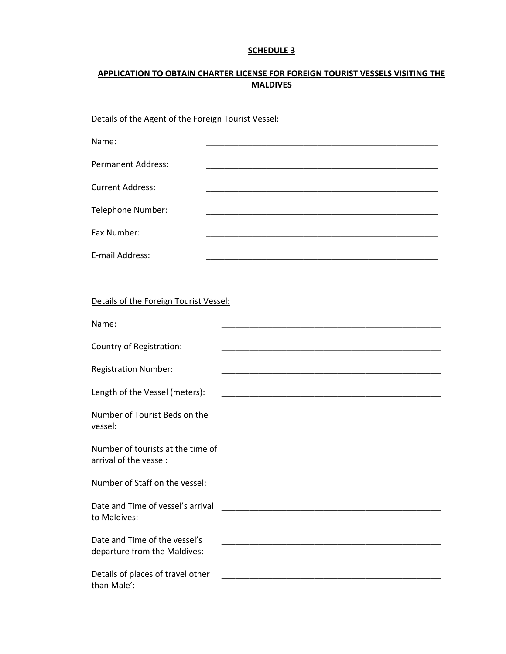# **APPLICATION TO OBTAIN CHARTER LICENSE FOR FOREIGN TOURIST VESSELS VISITING THE MALDIVES**

Details of the Agent of the Foreign Tourist Vessel:

| Name:                     |  |
|---------------------------|--|
|                           |  |
| <b>Permanent Address:</b> |  |
| <b>Current Address:</b>   |  |
|                           |  |
| Telephone Number:         |  |
| Fax Number:               |  |
|                           |  |
| E-mail Address:           |  |

| Details of the Foreign Tourist Vessel: |  |  |
|----------------------------------------|--|--|
|                                        |  |  |

| Name:                                                         |                                                                                                                       |
|---------------------------------------------------------------|-----------------------------------------------------------------------------------------------------------------------|
| Country of Registration:                                      |                                                                                                                       |
| <b>Registration Number:</b>                                   | <u> 1989 - Johann John Stoff, deutscher Stoffen und der Stoffen und der Stoffen und der Stoffen und der Stoffen u</u> |
| Length of the Vessel (meters):                                |                                                                                                                       |
| Number of Tourist Beds on the<br>vessel:                      | <u> 1989 - Johann John Stone, market fan it ferskearre fan it ferskearre fan it ferskearre fan it ferskearre fan</u>  |
| arrival of the vessel:                                        |                                                                                                                       |
| Number of Staff on the vessel:                                |                                                                                                                       |
| Date and Time of vessel's arrival<br>to Maldives:             |                                                                                                                       |
| Date and Time of the vessel's<br>departure from the Maldives: | <u> 1980 - Johann John Stone, Amerikaansk politiker († 1908)</u>                                                      |
| Details of places of travel other<br>than Male':              |                                                                                                                       |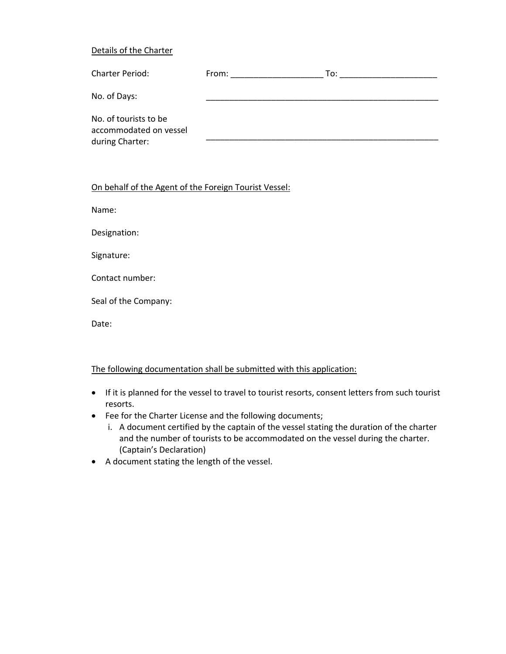#### Details of the Charter

| Charter Period:                                                    | From: | To: |
|--------------------------------------------------------------------|-------|-----|
| No. of Days:                                                       |       |     |
| No. of tourists to be<br>accommodated on vessel<br>during Charter: |       |     |

### On behalf of the Agent of the Foreign Tourist Vessel:

Name:

Designation:

Signature:

Contact number:

Seal of the Company:

Date:

#### The following documentation shall be submitted with this application:

- If it is planned for the vessel to travel to tourist resorts, consent letters from such tourist resorts.
- Fee for the Charter License and the following documents;
	- i. A document certified by the captain of the vessel stating the duration of the charter and the number of tourists to be accommodated on the vessel during the charter. (Captain's Declaration)
- A document stating the length of the vessel.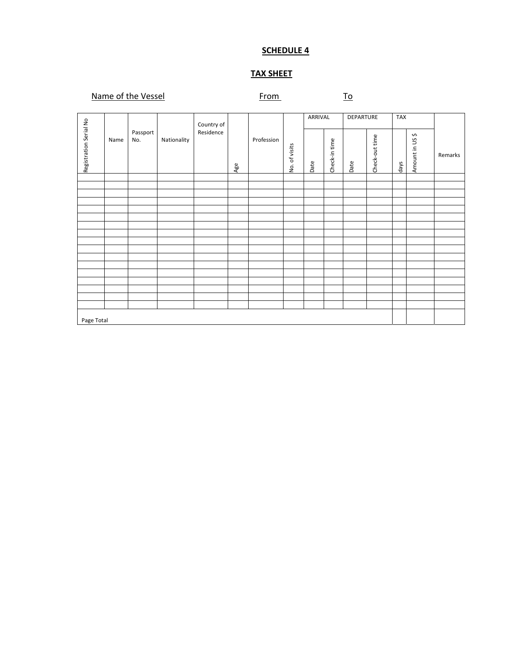# **TAX SHEET**

# Name of the Vessel **Example 20 From** To

|                        |      |                 |             | Country of |     |            |               | ARRIVAL |               | DEPARTURE |                | <b>TAX</b> |                 |         |
|------------------------|------|-----------------|-------------|------------|-----|------------|---------------|---------|---------------|-----------|----------------|------------|-----------------|---------|
| Registration Serial No | Name | Passport<br>No. | Nationality | Residence  | Age | Profession | No. of visits | Date    | Check-in time | Date      | Check-out time | days       | Amount in US \$ | Remarks |
|                        |      |                 |             |            |     |            |               |         |               |           |                |            |                 |         |
|                        |      |                 |             |            |     |            |               |         |               |           |                |            |                 |         |
|                        |      |                 |             |            |     |            |               |         |               |           |                |            |                 |         |
|                        |      |                 |             |            |     |            |               |         |               |           |                |            |                 |         |
|                        |      |                 |             |            |     |            |               |         |               |           |                |            |                 |         |
|                        |      |                 |             |            |     |            |               |         |               |           |                |            |                 |         |
|                        |      |                 |             |            |     |            |               |         |               |           |                |            |                 |         |
|                        |      |                 |             |            |     |            |               |         |               |           |                |            |                 |         |
|                        |      |                 |             |            |     |            |               |         |               |           |                |            |                 |         |
|                        |      |                 |             |            |     |            |               |         |               |           |                |            |                 |         |
|                        |      |                 |             |            |     |            |               |         |               |           |                |            |                 |         |
|                        |      |                 |             |            |     |            |               |         |               |           |                |            |                 |         |
|                        |      |                 |             |            |     |            |               |         |               |           |                |            |                 |         |
|                        |      |                 |             |            |     |            |               |         |               |           |                |            |                 |         |
|                        |      |                 |             |            |     |            |               |         |               |           |                |            |                 |         |
|                        |      |                 |             |            |     |            |               |         |               |           |                |            |                 |         |
|                        |      |                 |             |            |     |            |               |         |               |           |                |            |                 |         |
| Page Total             |      |                 |             |            |     |            |               |         |               |           |                |            |                 |         |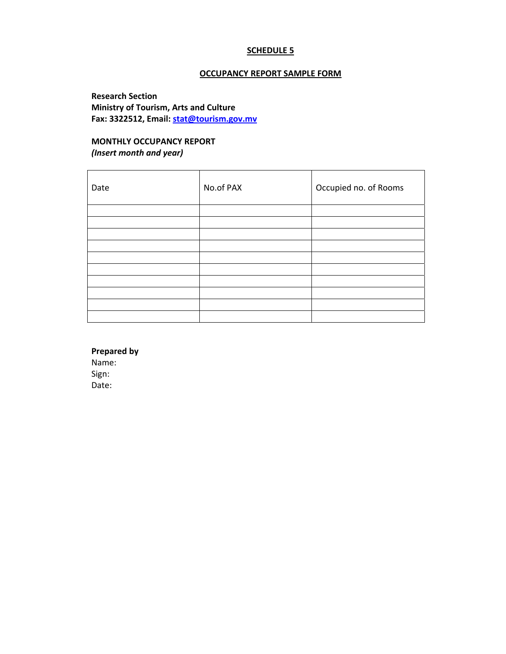#### **OCCUPANCY REPORT SAMPLE FORM**

**Research Section Ministry of Tourism, Arts and Culture Fax: 3322512, Email: stat@tourism.gov.mv**

# **MONTHLY OCCUPANCY REPORT**  *(Insert month and year)*

| Date | No.of PAX | Occupied no. of Rooms |
|------|-----------|-----------------------|
|      |           |                       |
|      |           |                       |
|      |           |                       |
|      |           |                       |
|      |           |                       |
|      |           |                       |
|      |           |                       |
|      |           |                       |
|      |           |                       |
|      |           |                       |

**Prepared by** Name: Sign: Date: